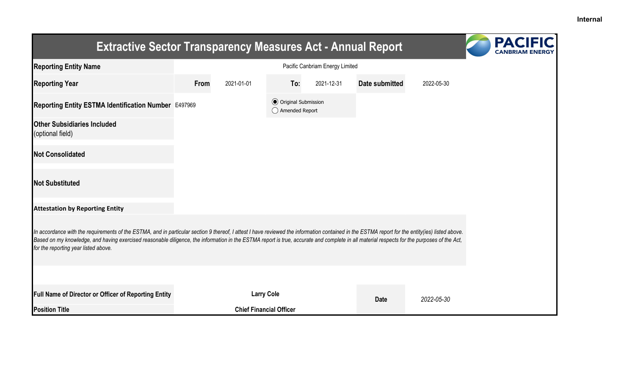| <b>Extractive Sector Transparency Measures Act - Annual Report</b>                                                                                                                                                                                                                                                                                                                                                                    |                                 |                                |                                                  |            |                |            |  |  |
|---------------------------------------------------------------------------------------------------------------------------------------------------------------------------------------------------------------------------------------------------------------------------------------------------------------------------------------------------------------------------------------------------------------------------------------|---------------------------------|--------------------------------|--------------------------------------------------|------------|----------------|------------|--|--|
| <b>Reporting Entity Name</b>                                                                                                                                                                                                                                                                                                                                                                                                          | Pacific Canbriam Energy Limited |                                |                                                  |            |                |            |  |  |
| <b>Reporting Year</b>                                                                                                                                                                                                                                                                                                                                                                                                                 | From                            | 2021-01-01                     | To:                                              | 2021-12-31 | Date submitted | 2022-05-30 |  |  |
| Reporting Entity ESTMA Identification Number E497969                                                                                                                                                                                                                                                                                                                                                                                  |                                 |                                | <b>◎</b> Original Submission<br>◯ Amended Report |            |                |            |  |  |
| <b>Other Subsidiaries Included</b><br>(optional field)                                                                                                                                                                                                                                                                                                                                                                                |                                 |                                |                                                  |            |                |            |  |  |
| <b>Not Consolidated</b>                                                                                                                                                                                                                                                                                                                                                                                                               |                                 |                                |                                                  |            |                |            |  |  |
| <b>Not Substituted</b>                                                                                                                                                                                                                                                                                                                                                                                                                |                                 |                                |                                                  |            |                |            |  |  |
| <b>Attestation by Reporting Entity</b>                                                                                                                                                                                                                                                                                                                                                                                                |                                 |                                |                                                  |            |                |            |  |  |
| In accordance with the requirements of the ESTMA, and in particular section 9 thereof, I attest I have reviewed the information contained in the ESTMA report for the entity(ies) listed above.<br>Based on my knowledge, and having exercised reasonable diligence, the information in the ESTMA report is true, accurate and complete in all material respects for the purposes of the Act,<br>for the reporting year listed above. |                                 |                                |                                                  |            |                |            |  |  |
|                                                                                                                                                                                                                                                                                                                                                                                                                                       |                                 |                                |                                                  |            |                |            |  |  |
| Full Name of Director or Officer of Reporting Entity                                                                                                                                                                                                                                                                                                                                                                                  |                                 | <b>Larry Cole</b>              |                                                  |            | <b>Date</b>    | 2022-05-30 |  |  |
| <b>Position Title</b>                                                                                                                                                                                                                                                                                                                                                                                                                 |                                 | <b>Chief Financial Officer</b> |                                                  |            |                |            |  |  |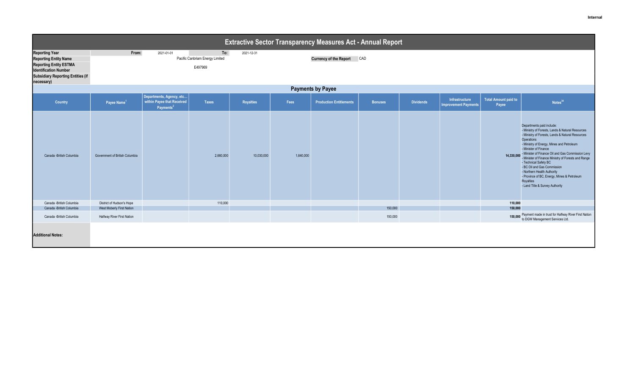| <b>Extractive Sector Transparency Measures Act - Annual Report</b>                                                                                                               |                                                         |                                                                                  |                                                   |            |           |                                |                    |                  |                                               |                                      |                                                                                                                                                                                                                                                                                                                                                                                                                                                                                                                         |  |
|----------------------------------------------------------------------------------------------------------------------------------------------------------------------------------|---------------------------------------------------------|----------------------------------------------------------------------------------|---------------------------------------------------|------------|-----------|--------------------------------|--------------------|------------------|-----------------------------------------------|--------------------------------------|-------------------------------------------------------------------------------------------------------------------------------------------------------------------------------------------------------------------------------------------------------------------------------------------------------------------------------------------------------------------------------------------------------------------------------------------------------------------------------------------------------------------------|--|
| <b>Reporting Year</b><br><b>Reporting Entity Name</b><br><b>Reporting Entity ESTMA</b><br><b>Identification Number</b><br><b>Subsidiary Reporting Entities (if</b><br>necessary) | From:                                                   | 2021-01-01                                                                       | To:<br>Pacific Canbriam Energy Limited<br>E497969 | 2021-12-31 |           | Currency of the Report CAD     |                    |                  |                                               |                                      |                                                                                                                                                                                                                                                                                                                                                                                                                                                                                                                         |  |
| <b>Payments by Payee</b>                                                                                                                                                         |                                                         |                                                                                  |                                                   |            |           |                                |                    |                  |                                               |                                      |                                                                                                                                                                                                                                                                                                                                                                                                                                                                                                                         |  |
| Country                                                                                                                                                                          | Payee Name <sup>1</sup>                                 | Departments, Agency, etc<br>within Payee that Received<br>Payments <sup>21</sup> | Taxes                                             | Royalties  | Fees      | <b>Production Entitlements</b> | <b>Bonuses</b>     | <b>Dividends</b> | Infrastructure<br><b>Improvement Payments</b> | <b>Total Amount paid to</b><br>Payee | Notes <sup>34</sup>                                                                                                                                                                                                                                                                                                                                                                                                                                                                                                     |  |
| Canada -British Columbia                                                                                                                                                         | Government of British Columbia                          |                                                                                  | 2,660,000                                         | 10,030,000 | 1,640,000 |                                |                    |                  |                                               | 14,330,000                           | Departments paid include:<br>- Ministry of Forests, Lands & Natural Resources<br>- Ministry of Forests, Lands & Natural Resources<br>Operations<br>- Ministry of Energy, Mines and Petroleum<br>- Minister of Finance<br>- Minister of Finance Oil and Gas Commission Levy<br>- Minister of Finance Ministry of Forests and Range<br>- Technical Safety BC<br>- BC Oil and Gas Commission<br>- Northern Health Authority<br>- Province of BC, Energy, Mines & Petroleum<br>Royalties<br>- Land Title & Survey Authority |  |
| Canada -British Columbia                                                                                                                                                         | District of Hudson's Hope                               |                                                                                  | 110,000                                           |            |           |                                |                    |                  |                                               | 110,000                              |                                                                                                                                                                                                                                                                                                                                                                                                                                                                                                                         |  |
| Canada -British Columbia<br>Canada -British Columbia                                                                                                                             | West Moberly First Nation<br>Halfway River First Nation |                                                                                  |                                                   |            |           |                                | 150,000<br>150,000 |                  |                                               | 150,000                              | 150,000 Payment made in trust for Halfway River First Nation<br>to DGW Management Services Ltd.                                                                                                                                                                                                                                                                                                                                                                                                                         |  |
| <b>Additional Notes:</b>                                                                                                                                                         |                                                         |                                                                                  |                                                   |            |           |                                |                    |                  |                                               |                                      |                                                                                                                                                                                                                                                                                                                                                                                                                                                                                                                         |  |